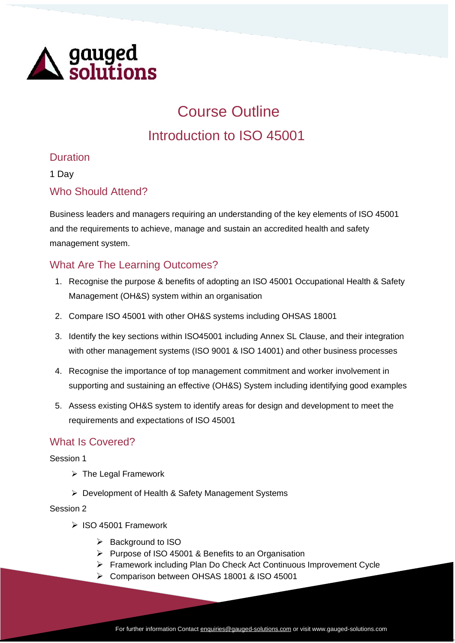

# Course Outline Introduction to ISO 45001

### Duration

1 Day

#### Who Should Attend?

Business leaders and managers requiring an understanding of the key elements of ISO 45001 and the requirements to achieve, manage and sustain an accredited health and safety management system.

## What Are The Learning Outcomes?

- 1. Recognise the purpose & benefits of adopting an ISO 45001 Occupational Health & Safety Management (OH&S) system within an organisation
- 2. Compare ISO 45001 with other OH&S systems including OHSAS 18001
- 3. Identify the key sections within ISO45001 including Annex SL Clause, and their integration with other management systems (ISO 9001 & ISO 14001) and other business processes
- 4. Recognise the importance of top management commitment and worker involvement in supporting and sustaining an effective (OH&S) System including identifying good examples
- 5. Assess existing OH&S system to identify areas for design and development to meet the requirements and expectations of ISO 45001

#### What Is Covered?

Session 1

- ➢ The Legal Framework
- ➢ Development of Health & Safety Management Systems

Session 2

- ➢ ISO 45001 Framework
	- ➢ Background to ISO
	- ➢ Purpose of ISO 45001 & Benefits to an Organisation
	- ➢ Framework including Plan Do Check Act Continuous Improvement Cycle
	- ➢ Comparison between OHSAS 18001 & ISO 45001